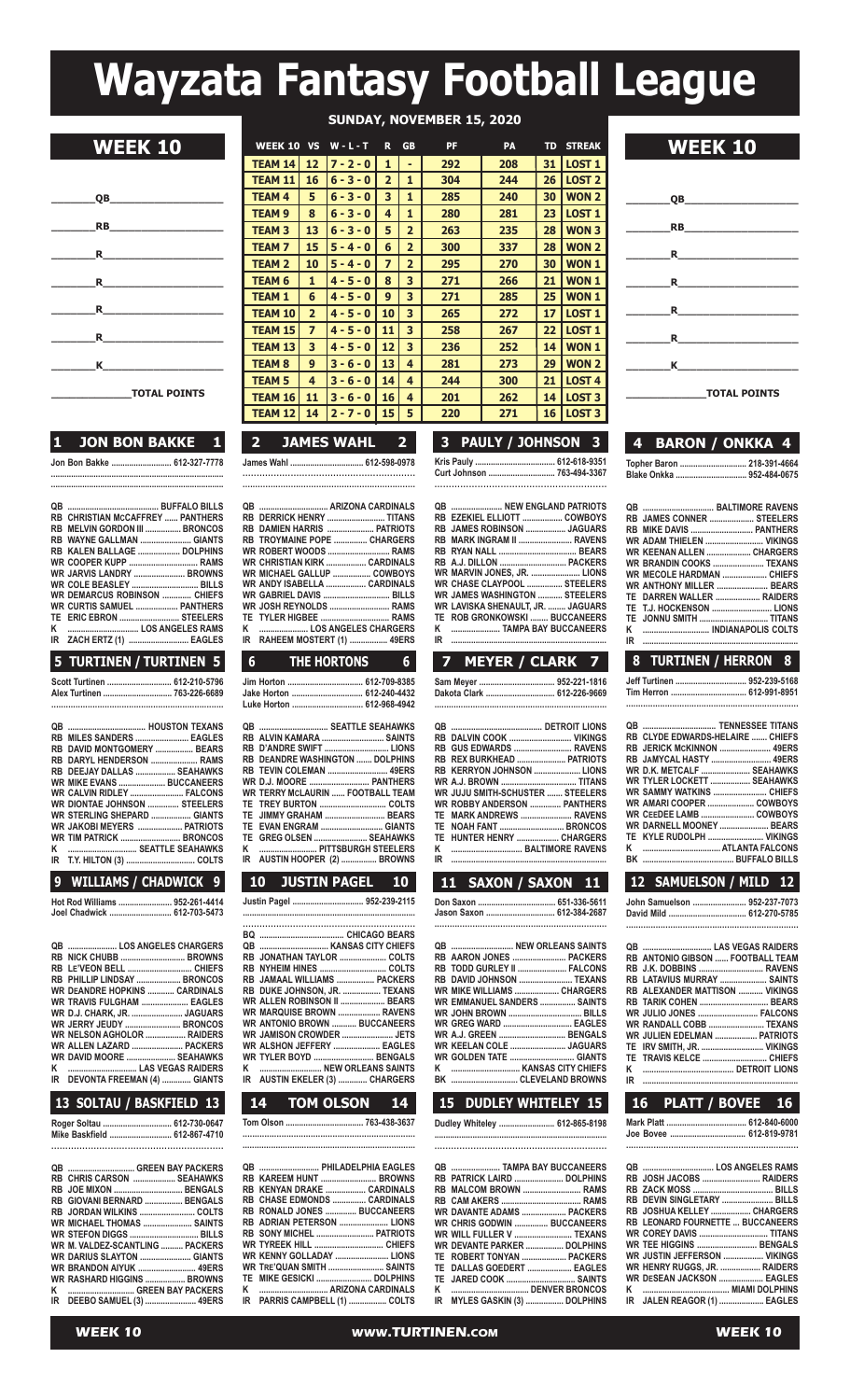# **Wayzata Fantasy Football League**

| <b>RB <i>RB</i></b>                                                                                                                                                                                                                                                                                          |
|--------------------------------------------------------------------------------------------------------------------------------------------------------------------------------------------------------------------------------------------------------------------------------------------------------------|
| $\mathbf R$ and $\mathbf R$ and $\mathbf R$ are set of $\mathbf R$ and $\mathbf R$ are set of $\mathbf R$ and $\mathbf R$ are set of $\mathbf R$ and $\mathbf R$ are set of $\mathbf R$ and $\mathbf R$ are set of $\mathbf R$ and $\mathbf R$ are set of $\mathbf R$ and $\mathbf R$ are set of $\mathbf R$ |
| $\mathbf R$ and $\mathbf R$ and $\mathbf R$ are set of $\mathbf R$ and $\mathbf R$ are set of $\mathbf R$ and $\mathbf R$ are set of $\mathbf R$ and $\mathbf R$ are set of $\mathbf R$ and $\mathbf R$ are set of $\mathbf R$ and $\mathbf R$ are set of $\mathbf R$ and $\mathbf R$ are set of $\mathbf R$ |
| $\mathbf R$ and $\mathbf R$ and $\mathbf R$ are set of $\mathbf R$ and $\mathbf R$ are set of $\mathbf R$ and $\mathbf R$ are set of $\mathbf R$ and $\mathbf R$ are set of $\mathbf R$ and $\mathbf R$ are set of $\mathbf R$ and $\mathbf R$ are set of $\mathbf R$ and $\mathbf R$ are set of $\mathbf R$ |
| $\mathbf R$                                                                                                                                                                                                                                                                                                  |
| $\kappa$ and $\kappa$ and $\kappa$ and $\kappa$ and $\kappa$ and $\kappa$ and $\kappa$ and $\kappa$ and $\kappa$ and $\kappa$ and $\kappa$ and $\kappa$ and $\kappa$ and $\kappa$ and $\kappa$ and $\kappa$ and $\kappa$ and $\kappa$ and $\kappa$ and $\kappa$ and $\kappa$ and $\kappa$ and                |
| <b>TOTAL POINTS</b>                                                                                                                                                                                                                                                                                          |

|  | 1 JON BON BAKKE 1 |  |
|--|-------------------|--|
|  |                   |  |

### **Jon Bon Bakke ........................... 612-327-7778 .............................................................................**

**............................................................................. qB ......................................... BUFFALO BILLS RB CHRISTIAN MCCAFFREY ...... PANTHERS RB MELVIN GORDON III ................ BRONCOS RB WAYNE GALLMAN ....................... GIANTS RB KALEN BALLAGE ................... DOLPHINS WR COOPER KUPP ............................... RAMS WR JARVIS LANDRY ....................... BROWNS WR COLE BEASLEY .............................. BILLS WR DEMARCUS ROBINSON ............. CHIEFS WR CURTIS SAMUEL ................... PANTHERS TE ERIC EBRON ........................... STEELERS K ................................ LOS ANGELES RAMS IR ZACH ERTZ (1) ........................... EAGLES**

### **5 TURTINEN / TURTINEN 5**

| Scott Turtinen  612-210-5796<br>Alex Turtinen  763-226-6689 |  |
|-------------------------------------------------------------|--|
|                                                             |  |

| QB  HOUSTON TEXANS               |  |
|----------------------------------|--|
| RB MILES SANDERS  EAGLES         |  |
| RB DAVID MONTGOMERY  BEARS       |  |
| RB DARYL HENDERSON  RAMS         |  |
| RB DEEJAY DALLAS  SEAHAWKS       |  |
| <b>WR MIKE EVANS  BUCCANEERS</b> |  |
| <b>WR CALVIN RIDLEY  FALCONS</b> |  |
| WR DIONTAE JOHNSON  STEELERS     |  |
| WR STERLING SHEPARD  GIANTS      |  |
| WR JAKOBI MEYERS  PATRIOTS       |  |
| WR TIM PATRICK  BRONCOS          |  |
| K  SEATTLE SEAHAWKS              |  |
|                                  |  |
|                                  |  |

### **9 WILLIAMS / CHADWICK 9**

**Hot Rod Williams ........................ 952-261-4414 Joel Chadwick ............................ 612-703-5473**

| QB  LOS ANGELES CHARGERS             |  |
|--------------------------------------|--|
|                                      |  |
|                                      |  |
| RB PHILLIP LINDSAY  BRONCOS          |  |
| <b>WR DEANDRE HOPKINS  CARDINALS</b> |  |
| WR TRAVIS FULGHAM  EAGLES            |  |
| WR D.J. CHARK, JR.  JAGUARS          |  |
| WR JERRY JEUDY  BRONCOS              |  |
| <b>WR NELSON AGHOLOR  RAIDERS</b>    |  |
| WR ALLEN LAZARD  PACKERS             |  |
| WR DAVID MOORE  SEAHAWKS             |  |
|                                      |  |
| IR DEVONTA FREEMAN (4)  GIANTS       |  |
|                                      |  |

# **13 SOLTAU / BASKFIELD 13**

| Roger Soltau  612-730-0647   |  |
|------------------------------|--|
| Mike Baskfield  612-867-4710 |  |
|                              |  |

| RB CHRIS CARSON  SEAHAWKS         |  |
|-----------------------------------|--|
| RB JOE MIXON  BENGALS             |  |
| RB GIOVANI BERNARD  BENGALS       |  |
| RB JORDAN WILKINS  COLTS          |  |
| WR MICHAEL THOMAS  SAINTS         |  |
|                                   |  |
| WR M. VALDEZ-SCANTLING  PACKERS   |  |
| WR DARIUS SLAYTON  GIANTS         |  |
| <b>WR BRANDON AIYUK  49ERS</b>    |  |
| <b>WR RASHARD HIGGINS  BROWNS</b> |  |
|                                   |  |
| IR DEEBO SAMUEL (3)  49ERS        |  |
|                                   |  |

|                     |                 |                         |                           |                         |                         | <b>SUNDAY, NOVEMBER 15, 2020</b> |     |                   |                    |                 |
|---------------------|-----------------|-------------------------|---------------------------|-------------------------|-------------------------|----------------------------------|-----|-------------------|--------------------|-----------------|
| <b>WEEK 10</b>      |                 |                         | WEEK 10 VS W-L-T          | $\mathbf{R}$            | <b>GB</b>               | <b>PF</b>                        | PA  |                   | <b>TD STREAK</b>   | <b>WEEK 10</b>  |
|                     | <b>TEAM 14</b>  | 12 <sup>2</sup>         | $ 7 - 2 - 0 $             | $\mathbf{1}$            |                         | 292                              | 208 |                   | 31   LOST 1        |                 |
|                     | <b>TEAM 11</b>  | 16                      | $6 - 3 - 0$               | $\overline{2}$          |                         | 304                              | 244 |                   | 26   LOST 2        |                 |
| QB                  | <b>TEAM 4</b>   | 5                       | $6 - 3 - 0$               | $\overline{\mathbf{3}}$ |                         | 285                              | 240 |                   | <b>30 WON 2</b>    | <b>OB</b>       |
|                     | <b>TEAM 9</b>   | 8                       | $6 - 3 - 0$               | 4                       |                         | 280                              | 281 |                   | 23   LOST 1        |                 |
| <b>RB</b>           | <b>TEAM 3</b>   | 13                      | $6 - 3 - 0$               | 5                       | 2 <sup>1</sup>          | 263                              | 235 |                   | <b>28 WON 3</b>    | <b>RB</b>       |
|                     | <b>TEAM7</b>    | 15                      | $5 - 4 - 0$               | 6                       | 2 <sup>1</sup>          | 300                              | 337 | 28                | <b>WON 2</b>       | $\mathbf{R}$    |
| R                   | <b>TEAM 2</b>   | 10                      | $5 - 4 - 0$               | 7                       | 2 <sup>1</sup>          | 295                              | 270 | 30                | WON <sub>1</sub>   |                 |
| <b>R</b>            | <b>TEAM 6</b>   | 1                       | $4 - 5 - 0$               | 8                       | 3                       | 271                              | 266 | 21                | WON <sub>1</sub>   | R.              |
|                     | <b>TEAM 1</b>   | 6                       | $4 - 5 - 0$               | $\mathbf{9}$            | $\overline{\mathbf{3}}$ | 271                              | 285 | 25 <sub>1</sub>   | WON <sub>1</sub>   |                 |
| $\mathbf R$         | <b>TEAM 10</b>  | $\overline{2}$          | $4 - 5 - 0$               | 10                      | $\overline{\mathbf{3}}$ | 265                              | 272 | 17                | LOST <sub>1</sub>  | $\mathbf{R}$    |
|                     | <b>TEAM 15</b>  | 7                       | $4 - 5 - 0$               | 11                      | $\overline{\mathbf{3}}$ | 258                              | 267 | $22 \overline{ }$ | LOST <sub>1</sub>  |                 |
| R                   | <b>TEAM 13</b>  | $\overline{\mathbf{3}}$ | $4 - 5 - 0$               | 12                      | $\overline{\mathbf{3}}$ | 236                              | 252 |                   | 14   WON 1         | R.              |
| K                   | <b>TEAM 8</b>   | $\mathbf{9}$            | $3 - 6 - 0$               | 13                      | 4                       | 281                              | 273 |                   | <b>29 WON 2</b>    | K               |
|                     | <b>TEAM 5</b>   | $\overline{\mathbf{4}}$ | $3 - 6 - 0$               | 14                      | 4                       | 244                              | 300 | 21                | LOST <sub>4</sub>  |                 |
| <b>TOTAL POINTS</b> | <b>TEAM 16</b>  | 11                      | $3 - 6 - 0$               | <b>16</b>               | 4                       | 201                              | 262 |                   | <b>14   LOST 3</b> | <b>TOTAL PO</b> |
|                     | <b>TEAM 121</b> |                         | $14$   2 - 7 - 0   15   5 |                         |                         | 220                              | 271 |                   | $16$ LOST 3        |                 |

| 2 JAMES WAHL 2           |  |
|--------------------------|--|
| James Wahl  612-598-0978 |  |
|                          |  |
|                          |  |
|                          |  |

| $\epsilon$ THE HARTANE $\epsilon$ |  |
|-----------------------------------|--|
| IR RAHEEM MOSTERT (1)  49ERS      |  |
| K  LOS ANGELES CHARGERS           |  |
| TE TYLER HIGBEE  RAMS             |  |
| <b>WR JOSH REYNOLDS  RAMS</b>     |  |
| WR GABRIEL DAVIS  BILLS           |  |
| WR ANDY ISABELLA  CARDINALS       |  |
| WR MICHAEL GALLUP  COWBOYS        |  |
| WR CHRISTIAN KIRK  CARDINALS      |  |
| <b>WR ROBERT WOODS  RAMS</b>      |  |
| RB TROYMAINE POPE  CHARGERS       |  |
| RB DAMIEN HARRIS  PATRIOTS        |  |
| RB DERRICK HENRY  TITANS          |  |
|                                   |  |
|                                   |  |

| 0   INE HUKIUNS 0         |  |
|---------------------------|--|
|                           |  |
| Jake Horton  612-240-4432 |  |
|                           |  |
| OR SEATTI F SEAHAWKS      |  |

| RB ALVIN KAMARA  SAINTS                |  |
|----------------------------------------|--|
| RB D'ANDRE SWIFT  LIONS                |  |
| <b>RB DEANDRE WASHINGTON  DOLPHINS</b> |  |
| RB TEVIN COLEMAN  49ERS                |  |
| WR D.J. MOORE  PANTHERS                |  |
| WR TERRY MCLAURIN  FOOTBALL TEAM       |  |
|                                        |  |
| TE JIMMY GRAHAM  BEARS                 |  |
| TE EVAN ENGRAM  GIANTS                 |  |
| TE GREG OLSEN  SEAHAWKS                |  |
| K  PITTSBURGH STEELERS                 |  |
| IR AUSTIN HOOPER (2)  BROWNS           |  |
|                                        |  |

|  | <b>10 JUSTIN PAGEL 10</b>           |  |
|--|-------------------------------------|--|
|  | Justin Pagel  952-239-2115          |  |
|  |                                     |  |
|  |                                     |  |
|  |                                     |  |
|  | RB JONATHAN TAYLOR  COLTS           |  |
|  |                                     |  |
|  | RB JAMAAL WILLIAMS  PACKERS         |  |
|  | RB DUKE JOHNSON, JR.  TEXANS        |  |
|  | <b>WR ALLEN ROBINSON II  BEARS</b>  |  |
|  | WR MARQUISE BROWN  RAVENS           |  |
|  | <b>WR ANTONIO BROWN  BUCCANEERS</b> |  |
|  | <b>WR JAMISON CROWDER  JETS</b>     |  |
|  | WR ALSHON JEFFERY  EAGLES           |  |
|  | WR TYLER BOYD  BENGALS              |  |
|  | K  NEW ORLEANS SAINTS               |  |
|  | IR AUSTIN EKELER (3)  CHARGERS      |  |

# **Tom Olson ................................... 763-438-3637 .......................................................................**

| QB  PHILADELPHIA EAGLES          |  |
|----------------------------------|--|
| RB KAREEM HUNT  BROWNS           |  |
| RB KENYAN DRAKE  CARDINALS       |  |
| RB CHASE EDMONDS  CARDINALS      |  |
| RB RONALD JONES  BUCCANEERS      |  |
| RB ADRIAN PETERSON  LIONS        |  |
|                                  |  |
| WR TYREEK HILL  CHIEFS           |  |
| WR KENNY GOLLADAY  LIONS         |  |
| <b>WR TRE'QUAN SMITH  SAINTS</b> |  |
|                                  |  |
|                                  |  |
| IR PARRIS CAMPBELL (1)  COLTS    |  |
|                                  |  |

| 3 PAULY / JOHNSON 3        |  |  |  |  |  |  |  |  |  |  |
|----------------------------|--|--|--|--|--|--|--|--|--|--|
| Kris Pauly  612-618-9351   |  |  |  |  |  |  |  |  |  |  |
| Curt Johnson  763-494-3367 |  |  |  |  |  |  |  |  |  |  |
|                            |  |  |  |  |  |  |  |  |  |  |

|    | QB  NEW ENGLAND PATRIOTS             |  |
|----|--------------------------------------|--|
|    | RB EZEKIEL ELLIOTT  COWBOYS          |  |
|    | RB JAMES ROBINSON  JAGUARS           |  |
|    | RB MARK INGRAM II  RAVENS            |  |
|    |                                      |  |
|    |                                      |  |
|    | <b>WR MARVIN JONES, JR.  LIONS</b>   |  |
|    | WR CHASE CLAYPOOL  STEELERS          |  |
|    | <b>WR JAMES WASHINGTON  STEELERS</b> |  |
|    | WR LAVISKA SHENAULT, JR.  JAGUARS    |  |
|    | TE ROB GRONKOWSKI  BUCCANEERS        |  |
|    | K  TAMPA BAY BUCCANEERS              |  |
| IR |                                      |  |

### **6 THE HORTONS 6 7 MEYER / CLARK 7 8 TURTINEN / HERRON 8 Sam Meyer .................................. 952-221-1816**

| Dakota Clark  612-226-9669 |  |
|----------------------------|--|
|                            |  |

|    | RB GUS EDWARDS  RAVENS                  |  |
|----|-----------------------------------------|--|
|    | RB REX BURKHEAD  PATRIOTS               |  |
|    |                                         |  |
|    |                                         |  |
|    | <b>WR JUJU SMITH-SCHUSTER  STEELERS</b> |  |
|    | <b>WR ROBBY ANDERSON  PANTHERS</b>      |  |
|    | TE MARK ANDREWS  RAVENS                 |  |
|    | TE NOAH FANT  BRONCOS                   |  |
|    | TE HUNTER HENRY  CHARGERS               |  |
| ĸ  | <b>EXAMPLE THE RAI TIMORE RAVENS</b>    |  |
| IR |                                         |  |

### **10 JUSTIN PAGEL 10 11 SAXON / SAXON 11 12 SAMUELSON / MILD 12 Don Saxon ................................... 651-336-5611 Jason Saxon ............................... 612-384-2687 .................................................................... qB ............................ NEW ORLEANS SAINTS RB AARON JONES ........................ PACKERS RB TODD GURLEY II ...................... FALCONS RB DAVID JOHNSON ........................ TEXANS WR MIKE WILLIAMS .................... CHARGERS WR EMMANUEL SANDERS ................ SAINTS WR JOHN BROWN ................................. BILLS WR GREG WARD ............................... EAGLES WR A.J. GREEN .............................. BENGALS WR KEELAN COLE ......................... JAGUARS WR GOLDEN TATE ............................. GIANTS K ............................... KANSAS CITY CHIEFS BK .............................. CLEVELAND BROWNS**

### **Dudley Whiteley ......................... 612-865-8198 .............................................................................**

**.............................................................. qB ...................... TAMPA BAY BUCCANEERS RB PATRICK LAIRD ...................... DOLPHINS RB MALCOM BROWN .......................... RAMS RB CAM AKERS .................................... RAMS WR DAVANTE ADAMS .................... PACKERS WR CHRIS GODWIN ............... BUCCANEERS WR WILL FULLER V .......................... TEXANS WR DEVANTE PARKER ................. DOLPHINS TE ROBERT TONYAN .................... PACKERS TE DALLAS GOEDERT .................... EAGLES TE JARED COOK ............................... SAINTS K ................................... DENVER BRONCOS IR MYLES GASKIN (3) ................. DOLPHINS**



| 2  JAMES WAHL<br><b>2</b> | 3 PAULY / JOHNSON 3        | 4 BARON / ONKKA 4                                           |
|---------------------------|----------------------------|-------------------------------------------------------------|
| mes Wahl  612-598-0978    | Curt Johnson  763-494-3367 | Topher Baron  218-391-4664<br>Blake Onkka<br>. 952-484-0675 |

|    | RB JAMES CONNER  STEELERS        |
|----|----------------------------------|
|    | RB MIKE DAVIS  PANTHERS          |
|    | WR ADAM THIELEN  VIKINGS         |
|    | <b>WR KEENAN ALLEN  CHARGERS</b> |
|    | WR BRANDIN COOKS  TEXANS         |
|    | WR MECOLE HARDMAN  CHIEFS        |
|    | <b>WR ANTHONY MILLER  BEARS</b>  |
|    | TE DARREN WALLER  RAIDERS        |
|    |                                  |
|    | TE JONNU SMITH  TITANS           |
| ĸ  |                                  |
| IR |                                  |

### **Jeff Turtinen ................................ 952-239-5168 Tim Herron .................................. 612-991-8951**

| QB |  |  |  |
|----|--|--|--|

| RB CLYDE EDWARDS-HELAIRE  CHIEFS |  |
|----------------------------------|--|
| RB JERICK MCKINNON  49ERS        |  |
|                                  |  |
| WR D.K. METCALF  SEAHAWKS        |  |
| WR TYLER LOCKETT  SEAHAWKS       |  |
|                                  |  |
| WR AMARI COOPER  COWBOYS         |  |
| WR CEEDEE LAMB  COWBOYS          |  |
| WR DARNELL MOONEY  BEARS         |  |
| TE KYLE RUDOLPH  VIKINGS         |  |
|                                  |  |
|                                  |  |
|                                  |  |

| 12 SAMUELSON / MILD 12 |  |
|------------------------|--|

| John Samuelson  952-237-7073 |  |
|------------------------------|--|
|                              |  |
|                              |  |

| QB  LAS VEGAS RAIDERS                 |  |
|---------------------------------------|--|
| RB ANTONIO GIBSON  FOOTBALL TEAM      |  |
| <b>RB J.K. DOBBINS  RAVENS</b>        |  |
| RB LATAVIUS MURRAY  SAINTS            |  |
| <b>RB ALEXANDER MATTISON  VIKINGS</b> |  |
| RB TARIK COHEN  BEARS                 |  |
| <b>WR JULIO JONES  FALCONS</b>        |  |
| WR RANDALL COBB  TEXANS               |  |
| <b>WR JULIEN EDELMAN  PATRIOTS</b>    |  |
| TE IRV SMITH, JR.  VIKINGS            |  |
|                                       |  |
|                                       |  |
|                                       |  |
|                                       |  |

### **14 TOM OLSON 14 15 DUDLEY WHITELEY 15 16 PLATT / BOVEE 16**

**Mark Platt .................................... 612-840-6000 Joe Bovee .................................. 612-819-9781 .....................................................................**

| RB JOSH JACOBS  RAIDERS                 |  |
|-----------------------------------------|--|
|                                         |  |
| RB DEVIN SINGLETARY  BILLS              |  |
| RB JOSHUA KELLEY  CHARGERS              |  |
| <b>RB LEONARD FOURNETTE  BUCCANEERS</b> |  |
| WR COREY DAVIS  TITANS                  |  |
| WR TEE HIGGINS  BENGALS                 |  |
| WR JUSTIN JEFFERSON  VIKINGS            |  |
| WR HENRY RUGGS, JR.  RAIDERS            |  |
| <b>WR DESEAN JACKSON  EAGLES</b>        |  |
|                                         |  |
| IR JALEN REAGOR (1)  EAGLES             |  |